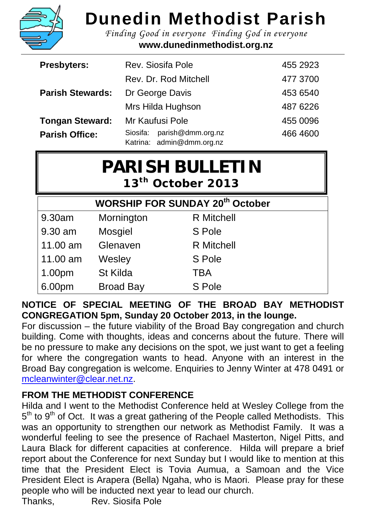

## **Dunedin Methodist Parish**

*Finding Good in everyone Finding God in everyone* **www.dunedinmethodist.org.nz**

| <b>Presbyters:</b>      | <b>Rev. Siosifa Pole</b>                                   | 455 2923 |
|-------------------------|------------------------------------------------------------|----------|
|                         | Rev. Dr. Rod Mitchell                                      | 477 3700 |
| <b>Parish Stewards:</b> | Dr George Davis                                            | 453 6540 |
|                         | Mrs Hilda Hughson                                          | 487 6226 |
| <b>Tongan Steward:</b>  | Mr Kaufusi Pole                                            | 455 0096 |
| <b>Parish Office:</b>   | parish@dmm.org.nz<br>Siosifa:<br>Katrina: admin@dmm.org.nz | 466 4600 |

| <b>PARISH BULLETIN</b>        |  |
|-------------------------------|--|
| 13 <sup>th</sup> October 2013 |  |

| <b>WORSHIP FOR SUNDAY 20<sup>th</sup> October</b> |                  |                   |  |  |
|---------------------------------------------------|------------------|-------------------|--|--|
| 9.30am                                            | Mornington       | <b>R</b> Mitchell |  |  |
| 9.30 am                                           | <b>Mosgiel</b>   | S Pole            |  |  |
| 11.00 am                                          | Glenaven         | <b>R</b> Mitchell |  |  |
| 11.00 am                                          | Wesley           | S Pole            |  |  |
| 1.00pm                                            | St Kilda         | <b>TBA</b>        |  |  |
| 6.00pm                                            | <b>Broad Bay</b> | S Pole            |  |  |

**NOTICE OF SPECIAL MEETING OF THE BROAD BAY METHODIST CONGREGATION 5pm, Sunday 20 October 2013, in the lounge.**

For discussion – the future viability of the Broad Bay congregation and church building. Come with thoughts, ideas and concerns about the future. There will be no pressure to make any decisions on the spot, we just want to get a feeling for where the congregation wants to head. Anyone with an interest in the Broad Bay congregation is welcome. Enquiries to Jenny Winter at 478 0491 or [mcleanwinter@clear.net.nz.](mailto:mcleanwinter@clear.net.nz)

## **FROM THE METHODIST CONFERENCE**

Hilda and I went to the Methodist Conference held at Wesley College from the  $5<sup>th</sup>$  to  $9<sup>th</sup>$  of Oct. It was a great gathering of the People called Methodists. This was an opportunity to strengthen our network as Methodist Family. It was a wonderful feeling to see the presence of Rachael Masterton, Nigel Pitts, and Laura Black for different capacities at conference. Hilda will prepare a brief report about the Conference for next Sunday but I would like to mention at this time that the President Elect is Tovia Aumua, a Samoan and the Vice President Elect is Arapera (Bella) Ngaha, who is Maori. Please pray for these people who will be inducted next year to lead our church.

Thanks, Rev. Siosifa Pole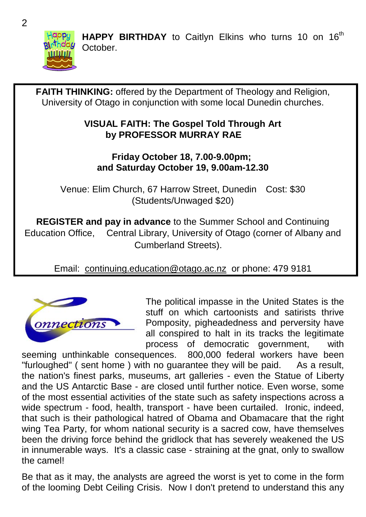

HAPPY BIRTHDAY to Caitlyn Elkins who turns 10 on 16<sup>th</sup> October.

**FAITH THINKING:** offered by the Department of Theology and Religion, University of Otago in conjunction with some local Dunedin churches. **VISUAL FAITH: The Gospel Told Through Art by PROFESSOR MURRAY RAE Friday October 18, 7.00-9.00pm; and Saturday October 19, 9.00am-12.30** Venue: Elim Church, 67 Harrow Street, Dunedin Cost: \$30 (Students/Unwaged \$20) **REGISTER and pay in advance** to the Summer School and Continuing Education Office, Central Library, University of Otago (corner of Albany and Cumberland Streets). Email: [continuing.education@otago.ac.nz](mailto:continuing.education@otago.ac.nz) or phone: 479 9181 The political impasse in the United States is the stuff on which cartoonists and satirists thrive Pomposity, pigheadedness and perversity have onnections all conspired to halt in its tracks the legitimate process of democratic government, with<br>uences. 800,000 federal workers have been seeming unthinkable consequences.

"furloughed" ( sent home ) with no guarantee they will be paid. As a result, the nation's finest parks, museums, art galleries - even the Statue of Liberty and the US Antarctic Base - are closed until further notice. Even worse, some of the most essential activities of the state such as safety inspections across a wide spectrum - food, health, transport - have been curtailed. Ironic, indeed, that such is their pathological hatred of Obama and Obamacare that the right wing Tea Party, for whom national security is a sacred cow, have themselves been the driving force behind the gridlock that has severely weakened the US in innumerable ways. It's a classic case - straining at the gnat, only to swallow the camel!

Be that as it may, the analysts are agreed the worst is yet to come in the form of the looming Debt Ceiling Crisis. Now I don't pretend to understand this any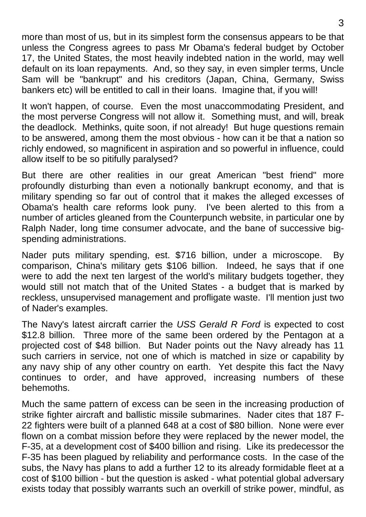more than most of us, but in its simplest form the consensus appears to be that unless the Congress agrees to pass Mr Obama's federal budget by October 17, the United States, the most heavily indebted nation in the world, may well default on its loan repayments. And, so they say, in even simpler terms, Uncle Sam will be "bankrupt" and his creditors (Japan, China, Germany, Swiss bankers etc) will be entitled to call in their loans. Imagine that, if you will!

It won't happen, of course. Even the most unaccommodating President, and the most perverse Congress will not allow it. Something must, and will, break the deadlock. Methinks, quite soon, if not already! But huge questions remain to be answered, among them the most obvious - how can it be that a nation so richly endowed, so magnificent in aspiration and so powerful in influence, could allow itself to be so pitifully paralysed?

But there are other realities in our great American "best friend" more profoundly disturbing than even a notionally bankrupt economy, and that is military spending so far out of control that it makes the alleged excesses of Obama's health care reforms look puny. I've been alerted to this from a number of articles gleaned from the Counterpunch website, in particular one by Ralph Nader, long time consumer advocate, and the bane of successive bigspending administrations.

Nader puts military spending, est. \$716 billion, under a microscope. By comparison, China's military gets \$106 billion. Indeed, he says that if one were to add the next ten largest of the world's military budgets together, they would still not match that of the United States - a budget that is marked by reckless, unsupervised management and profligate waste. I'll mention just two of Nader's examples.

The Navy's latest aircraft carrier the *USS Gerald R Ford* is expected to cost \$12.8 billion. Three more of the same been ordered by the Pentagon at a projected cost of \$48 billion. But Nader points out the Navy already has 11 such carriers in service, not one of which is matched in size or capability by any navy ship of any other country on earth. Yet despite this fact the Navy continues to order, and have approved, increasing numbers of these behemoths.

Much the same pattern of excess can be seen in the increasing production of strike fighter aircraft and ballistic missile submarines. Nader cites that 187 F-22 fighters were built of a planned 648 at a cost of \$80 billion. None were ever flown on a combat mission before they were replaced by the newer model, the F-35, at a development cost of \$400 billion and rising. Like its predecessor the F-35 has been plagued by reliability and performance costs. In the case of the subs, the Navy has plans to add a further 12 to its already formidable fleet at a cost of \$100 billion - but the question is asked - what potential global adversary exists today that possibly warrants such an overkill of strike power, mindful, as